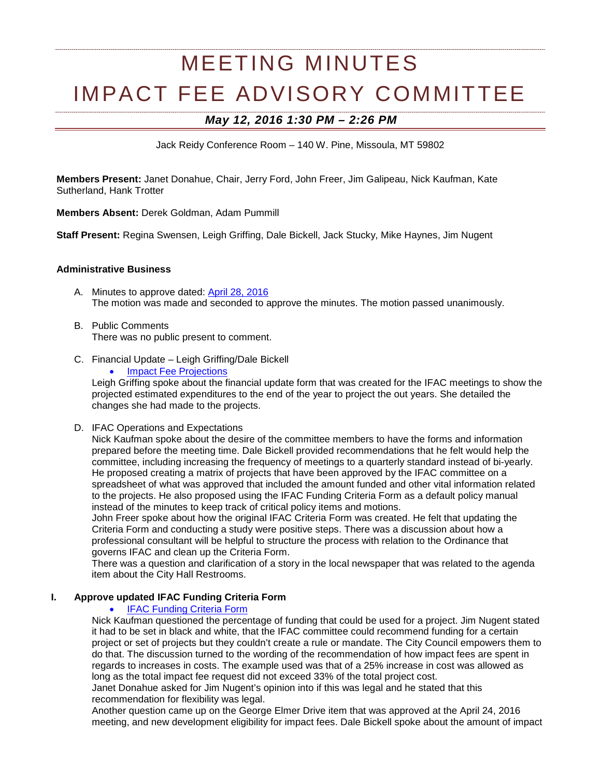# MEETING MINUTES IMPACT FEE ADVISORY COMMITTEE

# *May 12, 2016 1:30 PM – 2:26 PM*

Jack Reidy Conference Room – 140 W. Pine, Missoula, MT 59802

**Members Present:** Janet Donahue, Chair, Jerry Ford, John Freer, Jim Galipeau, Nick Kaufman, Kate Sutherland, Hank Trotter

**Members Absent:** Derek Goldman, Adam Pummill

**Staff Present:** Regina Swensen, Leigh Griffing, Dale Bickell, Jack Stucky, Mike Haynes, Jim Nugent

#### **Administrative Business**

- A. Minutes to approve dated: [April 28, 2016](http://ci.missoula.mt.us/Archive.aspx?ADID=10217) The motion was made and seconded to approve the minutes. The motion passed unanimously.
- B. Public Comments There was no public present to comment.
- C. Financial Update Leigh Griffing/Dale Bickell
	- **[Impact Fee Projections](https://www.ci.missoula.mt.us/DocumentCenter/View/34544)**

Leigh Griffing spoke about the financial update form that was created for the IFAC meetings to show the projected estimated expenditures to the end of the year to project the out years. She detailed the changes she had made to the projects.

D. IFAC Operations and Expectations

Nick Kaufman spoke about the desire of the committee members to have the forms and information prepared before the meeting time. Dale Bickell provided recommendations that he felt would help the committee, including increasing the frequency of meetings to a quarterly standard instead of bi-yearly. He proposed creating a matrix of projects that have been approved by the IFAC committee on a spreadsheet of what was approved that included the amount funded and other vital information related to the projects. He also proposed using the IFAC Funding Criteria Form as a default policy manual instead of the minutes to keep track of critical policy items and motions.

John Freer spoke about how the original IFAC Criteria Form was created. He felt that updating the Criteria Form and conducting a study were positive steps. There was a discussion about how a professional consultant will be helpful to structure the process with relation to the Ordinance that governs IFAC and clean up the Criteria Form.

There was a question and clarification of a story in the local newspaper that was related to the agenda item about the City Hall Restrooms.

## **I. Approve updated IFAC Funding Criteria Form**

## **[IFAC Funding Criteria Form](https://www.ci.missoula.mt.us/DocumentCenter/View/34547)**

Nick Kaufman questioned the percentage of funding that could be used for a project. Jim Nugent stated it had to be set in black and white, that the IFAC committee could recommend funding for a certain project or set of projects but they couldn't create a rule or mandate. The City Council empowers them to do that. The discussion turned to the wording of the recommendation of how impact fees are spent in regards to increases in costs. The example used was that of a 25% increase in cost was allowed as long as the total impact fee request did not exceed 33% of the total project cost.

Janet Donahue asked for Jim Nugent's opinion into if this was legal and he stated that this recommendation for flexibility was legal.

Another question came up on the George Elmer Drive item that was approved at the April 24, 2016 meeting, and new development eligibility for impact fees. Dale Bickell spoke about the amount of impact